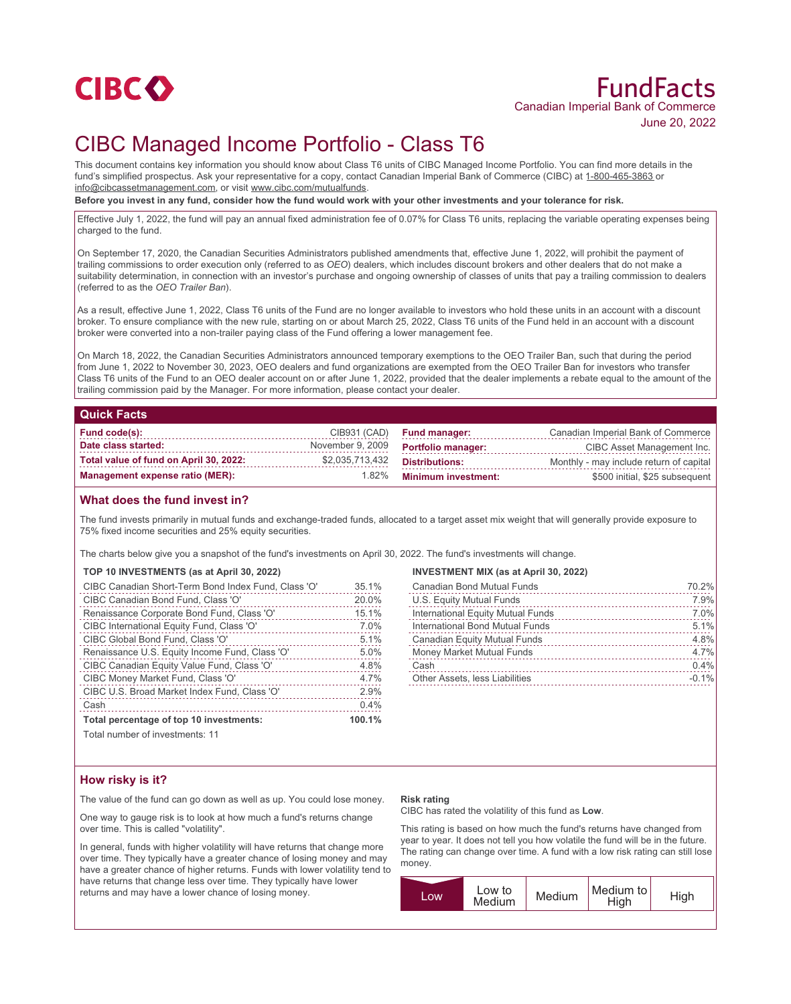

# FundFacts Canadian Imperial Bank of Commerce June 20, 2022

## CIBC Managed Income Portfolio - Class T6

This document contains key information you should know about Class T6 units of CIBC Managed Income Portfolio. You can find more details in the fund's simplified prospectus. Ask your representative for a copy, contact Canadian Imperial Bank of Commerce (CIBC) at 1-800-465-3863 or info@cibcassetmanagement.com, or visit www.cibc.com/mutualfunds.

**Before you invest in any fund, consider how the fund would work with your other investments and your tolerance for risk.**

Effective July 1, 2022, the fund will pay an annual fixed administration fee of 0.07% for Class T6 units, replacing the variable operating expenses being charged to the fund.

On September 17, 2020, the Canadian Securities Administrators published amendments that, effective June 1, 2022, will prohibit the payment of trailing commissions to order execution only (referred to as *OEO*) dealers, which includes discount brokers and other dealers that do not make a suitability determination, in connection with an investor's purchase and ongoing ownership of classes of units that pay a trailing commission to dealers (referred to as the *OEO Trailer Ban*).

As a result, effective June 1, 2022, Class T6 units of the Fund are no longer available to investors who hold these units in an account with a discount broker. To ensure compliance with the new rule, starting on or about March 25, 2022, Class T6 units of the Fund held in an account with a discount broker were converted into a non-trailer paying class of the Fund offering a lower management fee.

On March 18, 2022, the Canadian Securities Administrators announced temporary exemptions to the OEO Trailer Ban, such that during the period from June 1, 2022 to November 30, 2023, OEO dealers and fund organizations are exempted from the OEO Trailer Ban for investors who transfer Class T6 units of the Fund to an OEO dealer account on or after June 1, 2022, provided that the dealer implements a rebate equal to the amount of the trailing commission paid by the Manager. For more information, please contact your dealer.

### **Quick Facts**

| Fund code(s):                          |                  | CIB931 (CAD) Fund manager: | Canadian Imperial Bank of Commerce      |
|----------------------------------------|------------------|----------------------------|-----------------------------------------|
| Date class started:                    | November 9, 2009 | <b>Portfolio manager:</b>  | CIBC Asset Management Inc.              |
| Total value of fund on April 30, 2022: | \$2,035,713,432  | Distributions:             | Monthly - may include return of capital |
| Management expense ratio (MER):        | 1.82%            | Minimum investment:        | \$500 initial, \$25 subsequent          |

## **What does the fund invest in?**

The fund invests primarily in mutual funds and exchange-traded funds, allocated to a target asset mix weight that will generally provide exposure to 75% fixed income securities and 25% equity securities.

The charts below give you a snapshot of the fund's investments on April 30, 2022. The fund's investments will change.

#### **TOP 10 INVESTMENTS (as at April 30, 2022)**

| CIBC Canadian Short-Term Bond Index Fund, Class 'O' | 35.1%  |
|-----------------------------------------------------|--------|
| CIBC Canadian Bond Fund, Class 'O'                  | 20.0%  |
| Renaissance Corporate Bond Fund, Class 'O'          | 15.1%  |
| CIBC International Equity Fund, Class 'O'           | 7.0%   |
| CIBC Global Bond Fund, Class 'O'                    | 5.1%   |
| Renaissance U.S. Equity Income Fund, Class 'O'      | 5.0%   |
| CIBC Canadian Equity Value Fund, Class 'O'          | 4.8%   |
| CIBC Money Market Fund, Class 'O'                   | 4.7%   |
| CIBC U.S. Broad Market Index Fund, Class 'O'        | 2.9%   |
| Cash                                                | 0.4%   |
| Total percentage of top 10 investments:             | 100.1% |
| .                                                   |        |

**INVESTMENT MIX (as at April 30, 2022)**

| <b>Canadian Bond Mutual Funds</b>   | 70.2%   |
|-------------------------------------|---------|
| U.S. Equity Mutual Funds            | 7.9%    |
| International Equity Mutual Funds   | 7.0%    |
| International Bond Mutual Funds     | 5.1%    |
| <b>Canadian Equity Mutual Funds</b> | 4.8%    |
| <b>Money Market Mutual Funds</b>    | 4.7%    |
| Cash                                | 0.4%    |
| Other Assets, less Liabilities      | $-0.1%$ |

Total number of investments: 11

## **How risky is it?**

The value of the fund can go down as well as up. You could lose money.

One way to gauge risk is to look at how much a fund's returns change over time. This is called "volatility".

In general, funds with higher volatility will have returns that change more over time. They typically have a greater chance of losing money and may have a greater chance of higher returns. Funds with lower volatility tend to have returns that change less over time. They typically have lower returns and may have a lower chance of losing money.

#### **Risk rating**

CIBC has rated the volatility of this fund as **Low**.

This rating is based on how much the fund's returns have changed from year to year. It does not tell you how volatile the fund will be in the future. The rating can change over time. A fund with a low risk rating can still lose money.

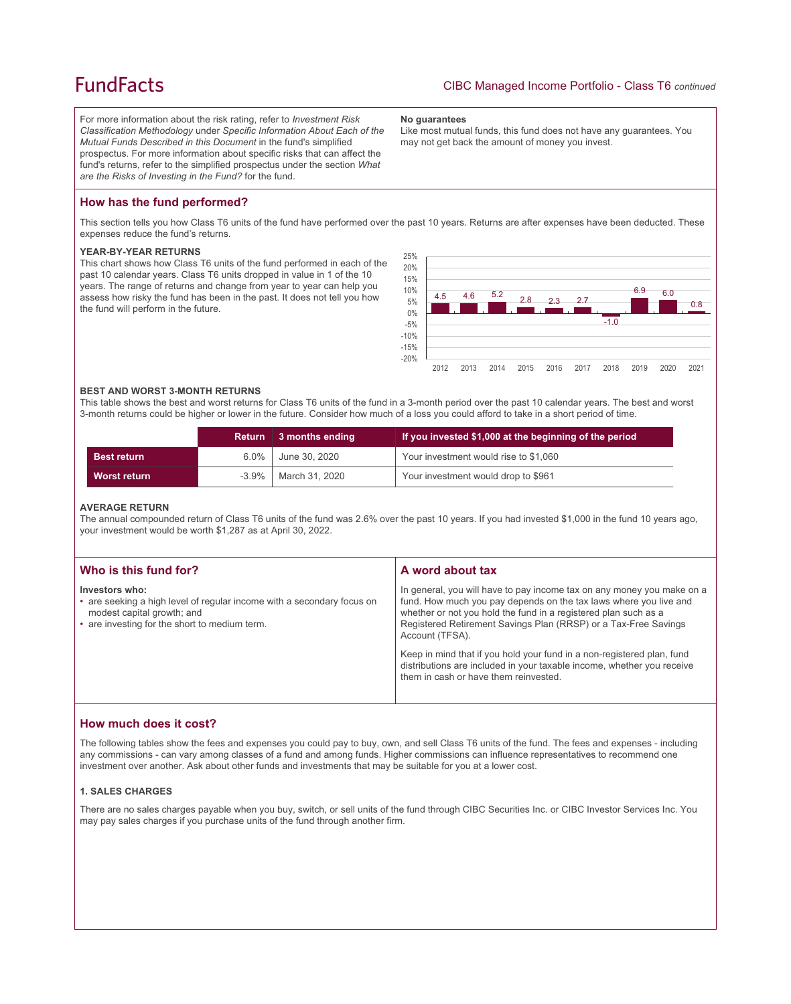## **FundFacts**

For more information about the risk rating, refer to *Investment Risk Classification Methodology* under *Specific Information About Each of the Mutual Funds Described in this Document* in the fund's simplified prospectus. For more information about specific risks that can affect the fund's returns, refer to the simplified prospectus under the section *What are the Risks of Investing in the Fund?* for the fund.

#### **No guarantees**

Like most mutual funds, this fund does not have any guarantees. You may not get back the amount of money you invest.

## **How has the fund performed?**

This section tells you how Class T6 units of the fund have performed over the past 10 years. Returns are after expenses have been deducted. These expenses reduce the fund's returns.

#### **YEAR-BY-YEAR RETURNS**

This chart shows how Class T6 units of the fund performed in each of the past 10 calendar years. Class T6 units dropped in value in 1 of the 10 years. The range of returns and change from year to year can help you assess how risky the fund has been in the past. It does not tell you how the fund will perform in the future.



#### **BEST AND WORST 3-MONTH RETURNS**

This table shows the best and worst returns for Class T6 units of the fund in a 3-month period over the past 10 calendar years. The best and worst 3-month returns could be higher or lower in the future. Consider how much of a loss you could afford to take in a short period of time.

|                     | <b>Return</b> | 3 months ending | If you invested \$1,000 at the beginning of the period |
|---------------------|---------------|-----------------|--------------------------------------------------------|
| <b>Best return</b>  | $6.0\%$       | June 30, 2020   | Your investment would rise to \$1,060                  |
| <b>Worst return</b> | $-3.9\%$      | March 31, 2020  | Your investment would drop to \$961                    |

#### **AVERAGE RETURN**

The annual compounded return of Class T6 units of the fund was 2.6% over the past 10 years. If you had invested \$1,000 in the fund 10 years ago, your investment would be worth \$1,287 as at April 30, 2022.

| Who is this fund for?                                                                                                                                                   | A word about tax                                                                                                                                                                                                                                                                                     |
|-------------------------------------------------------------------------------------------------------------------------------------------------------------------------|------------------------------------------------------------------------------------------------------------------------------------------------------------------------------------------------------------------------------------------------------------------------------------------------------|
| Investors who:<br>• are seeking a high level of regular income with a secondary focus on<br>modest capital growth; and<br>• are investing for the short to medium term. | In general, you will have to pay income tax on any money you make on a<br>fund. How much you pay depends on the tax laws where you live and<br>whether or not you hold the fund in a registered plan such as a<br>Registered Retirement Savings Plan (RRSP) or a Tax-Free Savings<br>Account (TFSA). |
|                                                                                                                                                                         | Keep in mind that if you hold your fund in a non-registered plan, fund<br>distributions are included in your taxable income, whether you receive<br>them in cash or have them reinvested.                                                                                                            |

### **How much does it cost?**

The following tables show the fees and expenses you could pay to buy, own, and sell Class T6 units of the fund. The fees and expenses - including any commissions - can vary among classes of a fund and among funds. Higher commissions can influence representatives to recommend one investment over another. Ask about other funds and investments that may be suitable for you at a lower cost.

#### **1. SALES CHARGES**

There are no sales charges payable when you buy, switch, or sell units of the fund through CIBC Securities Inc. or CIBC Investor Services Inc. You may pay sales charges if you purchase units of the fund through another firm.